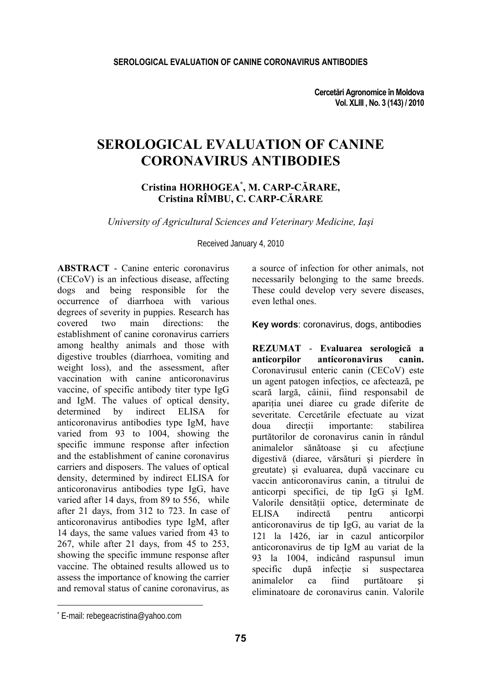**Cercetări Agronomice în Moldova Vol. XLIII , No. 3 (143) / 2010** 

# **SEROLOGICAL EVALUATION OF CANINE CORONAVIRUS ANTIBODIES**

### **Cristina HORHOGEA\* , M. CARP-CĂRARE, Cristina RÎMBU, C. CARP-CĂRARE**

*University of Agricultural Sciences and Veterinary Medicine, Iaşi* 

Received January 4, 2010

**ABSTRACT** - Canine enteric coronavirus (CECoV) is an infectious disease, affecting dogs and being responsible for the occurrence of diarrhoea with various degrees of severity in puppies. Research has covered two main directions: the establishment of canine coronavirus carriers among healthy animals and those with digestive troubles (diarrhoea, vomiting and weight loss), and the assessment, after vaccination with canine anticoronavirus vaccine, of specific antibody titer type IgG and IgM. The values of optical density, determined by indirect ELISA for anticoronavirus antibodies type IgM, have varied from 93 to 1004, showing the specific immune response after infection and the establishment of canine coronavirus carriers and disposers. The values of optical density, determined by indirect ELISA for anticoronavirus antibodies type IgG, have varied after 14 days, from 89 to 556, while after 21 days, from 312 to 723. In case of anticoronavirus antibodies type IgM, after 14 days, the same values varied from 43 to 267, while after 21 days, from 45 to 253, showing the specific immune response after vaccine. The obtained results allowed us to assess the importance of knowing the carrier and removal status of canine coronavirus, as

a source of infection for other animals, not necessarily belonging to the same breeds. These could develop very severe diseases, even lethal ones.

**Key words**: coronavirus, dogs, antibodies

**REZUMAT** - **Evaluarea serologică a anticorpilor anticoronavirus canin.**  Coronavirusul enteric canin (CECoV) este un agent patogen infectios, ce afectează, pe scară largă, câinii, fiind responsabil de apariţia unei diaree cu grade diferite de severitate. Cercetările efectuate au vizat doua directii importante: stabilirea purtătorilor de coronavirus canin în rândul animalelor sănătoase și cu afectiune digestivă (diaree, vărsături şi pierdere în greutate) şi evaluarea, după vaccinare cu vaccin anticoronavirus canin, a titrului de anticorpi specifici, de tip IgG şi IgM. Valorile densităţii optice, determinate de ELISA indirectă pentru anticorpi anticoronavirus de tip IgG, au variat de la 121 la 1426, iar in cazul anticorpilor anticoronavirus de tip IgM au variat de la 93 la 1004, indicând raspunsul imun specific după infectie si suspectarea animalelor ca fiind purtătoare și eliminatoare de coronavirus canin. Valorile

l

<sup>\*</sup> E-mail: rebegeacristina@yahoo.com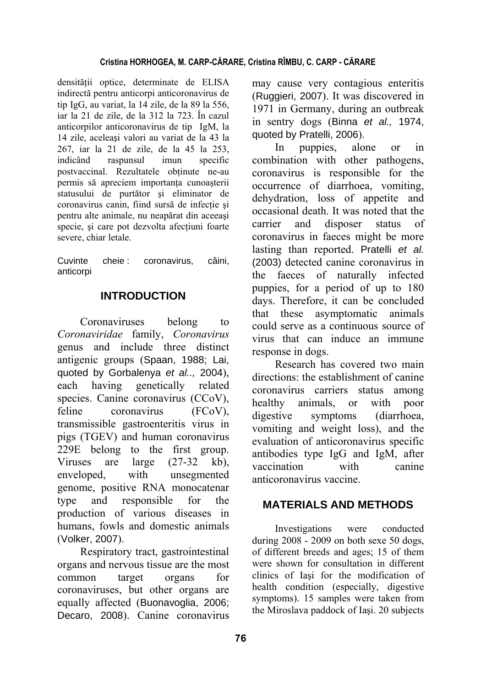#### **Cristina HORHOGEA, M. CARP-CĂRARE, Cristina RÎMBU, C. CARP - CĂRARE**

densităţii optice, determinate de ELISA indirectă pentru anticorpi anticoronavirus de tip IgG, au variat, la 14 zile, de la 89 la 556, iar la 21 de zile, de la 312 la 723. În cazul anticorpilor anticoronavirus de tip IgM, la 14 zile, aceleași valori au variat de la 43 la 267, iar la 21 de zile, de la 45 la 253, indicând raspunsul imun specific postvaccinal. Rezultatele obtinute ne-au permis să apreciem importanţa cunoaşterii statusului de purtător şi eliminator de coronavirus canin, fiind sursă de infecție și pentru alte animale, nu neapărat din aceeaşi specie, și care pot dezvolta afecțiuni foarte severe, chiar letale.

Cuvinte cheie : coronavirus, câini, anticorpi

## **INTRODUCTION**

Coronaviruses belong to *Coronaviridae* family, *Coronavirus* genus and include three distinct antigenic groups (Spaan, 1988; Lai, quoted by Gorbalenya *et al..,* 2004), each having genetically related species. Canine coronavirus (CCoV), feline coronavirus (FCoV), transmissible gastroenteritis virus in pigs (TGEV) and human coronavirus 229E belong to the first group. Viruses are large (27-32 kb), enveloped, with unsegmented genome, positive RNA monocatenar type and responsible for the production of various diseases in humans, fowls and domestic animals (Volker, 2007).

Respiratory tract, gastrointestinal organs and nervous tissue are the most common target organs for coronaviruses, but other organs are equally affected (Buonavoglia, 2006; Decaro, 2008). Canine coronavirus may cause very contagious enteritis (Ruggieri, 2007). It was discovered in 1971 in Germany, during an outbreak in sentry dogs (Binna *et al.,* 1974, quoted by Pratelli, 2006).

In puppies, alone or in combination with other pathogens, coronavirus is responsible for the occurrence of diarrhoea, vomiting, dehydration, loss of appetite and occasional death. It was noted that the carrier and disposer status of coronavirus in faeces might be more lasting than reported. Pratelli *et al.* (2003) detected canine coronavirus in the faeces of naturally infected puppies, for a period of up to 180 days. Therefore, it can be concluded that these asymptomatic animals could serve as a continuous source of virus that can induce an immune response in dogs.

Research has covered two main directions: the establishment of canine coronavirus carriers status among healthy animals, or with poor digestive symptoms (diarrhoea, vomiting and weight loss), and the evaluation of anticoronavirus specific antibodies type IgG and IgM, after vaccination with canine anticoronavirus vaccine.

## **MATERIALS AND METHODS**

Investigations were conducted during 2008 - 2009 on both sexe 50 dogs, of different breeds and ages; 15 of them were shown for consultation in different clinics of Iaşi for the modification of health condition (especially, digestive symptoms). 15 samples were taken from the Miroslava paddock of Iaşi. 20 subjects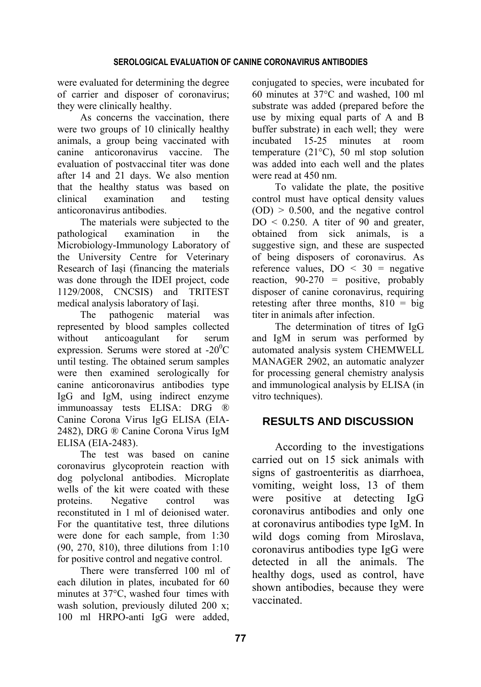were evaluated for determining the degree of carrier and disposer of coronavirus; they were clinically healthy.

As concerns the vaccination, there were two groups of 10 clinically healthy animals, a group being vaccinated with canine anticoronavirus vaccine. The evaluation of postvaccinal titer was done after 14 and 21 days. We also mention that the healthy status was based on clinical examination and testing anticoronavirus antibodies.

The materials were subjected to the pathological examination in the Microbiology-Immunology Laboratory of the University Centre for Veterinary Research of Iaşi (financing the materials was done through the IDEI project, code 1129/2008, CNCSIS) and TRITEST medical analysis laboratory of Iaşi.

The pathogenic material was represented by blood samples collected without anticoagulant for serum expression. Serums were stored at  $-20^{\circ}$ C until testing. The obtained serum samples were then examined serologically for canine anticoronavirus antibodies type IgG and IgM, using indirect enzyme immunoassay tests ELISA: DRG ® Canine Corona Virus IgG ELISA (EIA-2482), DRG ® Canine Corona Virus IgM ELISA (EIA-2483).

The test was based on canine coronavirus glycoprotein reaction with dog polyclonal antibodies. Microplate wells of the kit were coated with these proteins. Negative control was reconstituted in 1 ml of deionised water. For the quantitative test, three dilutions were done for each sample, from 1:30 (90, 270, 810), three dilutions from 1:10 for positive control and negative control.

There were transferred 100 ml of each dilution in plates, incubated for 60 minutes at 37°C, washed four times with wash solution, previously diluted 200 x; 100 ml HRPO-anti IgG were added, conjugated to species, were incubated for 60 minutes at 37°C and washed, 100 ml substrate was added (prepared before the use by mixing equal parts of A and B buffer substrate) in each well; they were incubated 15-25 minutes at room temperature (21°C), 50 ml stop solution was added into each well and the plates were read at 450 nm.

To validate the plate, the positive control must have optical density values  $(OD) > 0.500$ , and the negative control  $DO < 0.250$ . A titer of 90 and greater, obtained from sick animals, is a suggestive sign, and these are suspected of being disposers of coronavirus. As reference values,  $DO < 30$  = negative reaction,  $90-270$  = positive, probably disposer of canine coronavirus, requiring retesting after three months,  $810 = \text{big}$ titer in animals after infection.

The determination of titres of IgG and IgM in serum was performed by automated analysis system CHEMWELL MANAGER 2902, an automatic analyzer for processing general chemistry analysis and immunological analysis by ELISA (in vitro techniques).

## **RESULTS AND DISCUSSION**

According to the investigations carried out on 15 sick animals with signs of gastroenteritis as diarrhoea, vomiting, weight loss, 13 of them were positive at detecting IgG coronavirus antibodies and only one at coronavirus antibodies type IgM. In wild dogs coming from Miroslava, coronavirus antibodies type IgG were detected in all the animals. The healthy dogs, used as control, have shown antibodies, because they were vaccinated.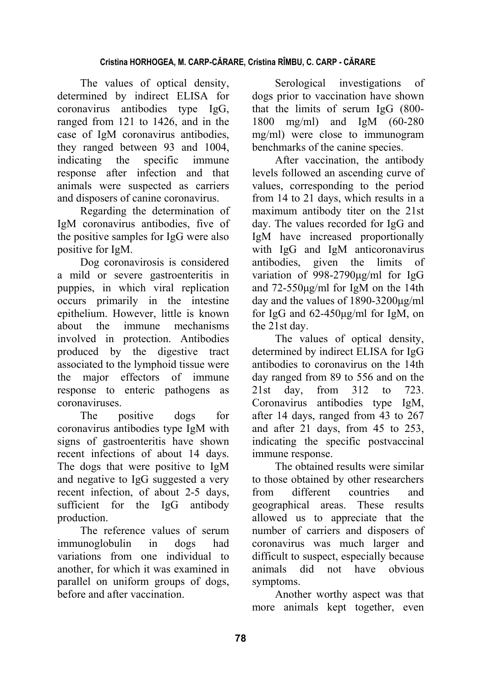The values of optical density, determined by indirect ELISA for coronavirus antibodies type IgG, ranged from 121 to 1426, and in the case of IgM coronavirus antibodies, they ranged between 93 and 1004, indicating the specific immune response after infection and that animals were suspected as carriers and disposers of canine coronavirus.

Regarding the determination of IgM coronavirus antibodies, five of the positive samples for IgG were also positive for IgM.

Dog coronavirosis is considered a mild or severe gastroenteritis in puppies, in which viral replication occurs primarily in the intestine epithelium. However, little is known about the immune mechanisms involved in protection. Antibodies produced by the digestive tract associated to the lymphoid tissue were the major effectors of immune response to enteric pathogens as coronaviruses.

The positive dogs for coronavirus antibodies type IgM with signs of gastroenteritis have shown recent infections of about 14 days. The dogs that were positive to IgM and negative to IgG suggested a very recent infection, of about 2-5 days, sufficient for the IgG antibody production.

The reference values of serum immunoglobulin in dogs had variations from one individual to another, for which it was examined in parallel on uniform groups of dogs, before and after vaccination.

Serological investigations of dogs prior to vaccination have shown that the limits of serum IgG (800- 1800 mg/ml) and IgM (60-280 mg/ml) were close to immunogram benchmarks of the canine species.

After vaccination, the antibody levels followed an ascending curve of values, corresponding to the period from 14 to 21 days, which results in a maximum antibody titer on the 21st day. The values recorded for IgG and IgM have increased proportionally with IgG and IgM anticoronavirus antibodies, given the limits of variation of 998-2790μg/ml for IgG and 72-550μg/ml for IgM on the 14th day and the values of 1890-3200μg/ml for IgG and 62-450μg/ml for IgM, on the 21st day.

The values of optical density, determined by indirect ELISA for IgG antibodies to coronavirus on the 14th day ranged from 89 to 556 and on the 21st day, from 312 to 723. Coronavirus antibodies type IgM, after 14 days, ranged from 43 to 267 and after 21 days, from 45 to 253, indicating the specific postvaccinal immune response.

The obtained results were similar to those obtained by other researchers from different countries and geographical areas. These results allowed us to appreciate that the number of carriers and disposers of coronavirus was much larger and difficult to suspect, especially because animals did not have obvious symptoms.

Another worthy aspect was that more animals kept together, even